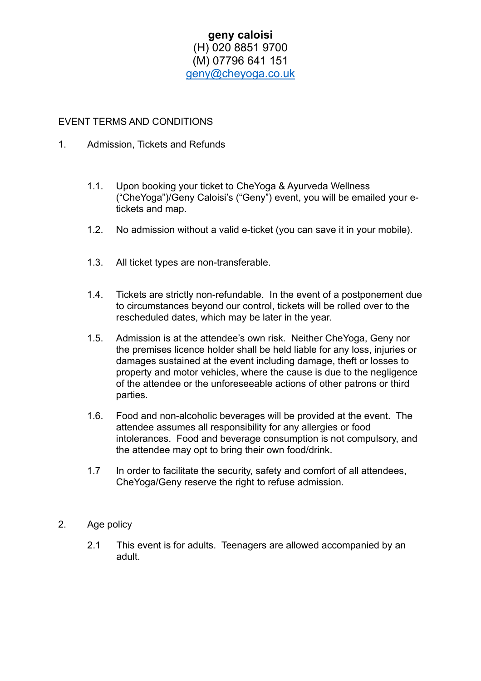## **geny caloisi** (H) 020 8851 9700 (M) 07796 641 151 [geny@cheyoga.co.uk](mailto:geny@cheyoga.co.uk)

## EVENT TERMS AND CONDITIONS

- 1. Admission, Tickets and Refunds
	- 1.1. Upon booking your ticket to CheYoga & Ayurveda Wellness ("CheYoga")/Geny Caloisi's ("Geny") event, you will be emailed your etickets and map.
	- 1.2. No admission without a valid e-ticket (you can save it in your mobile).
	- 1.3. All ticket types are non-transferable.
	- 1.4. Tickets are strictly non-refundable. In the event of a postponement due to circumstances beyond our control, tickets will be rolled over to the rescheduled dates, which may be later in the year.
	- 1.5. Admission is at the attendee's own risk. Neither CheYoga, Geny nor the premises licence holder shall be held liable for any loss, injuries or damages sustained at the event including damage, theft or losses to property and motor vehicles, where the cause is due to the negligence of the attendee or the unforeseeable actions of other patrons or third parties.
	- 1.6. Food and non-alcoholic beverages will be provided at the event. The attendee assumes all responsibility for any allergies or food intolerances. Food and beverage consumption is not compulsory, and the attendee may opt to bring their own food/drink.
	- 1.7 In order to facilitate the security, safety and comfort of all attendees, CheYoga/Geny reserve the right to refuse admission.
- 2. Age policy
	- 2.1 This event is for adults. Teenagers are allowed accompanied by an adult.